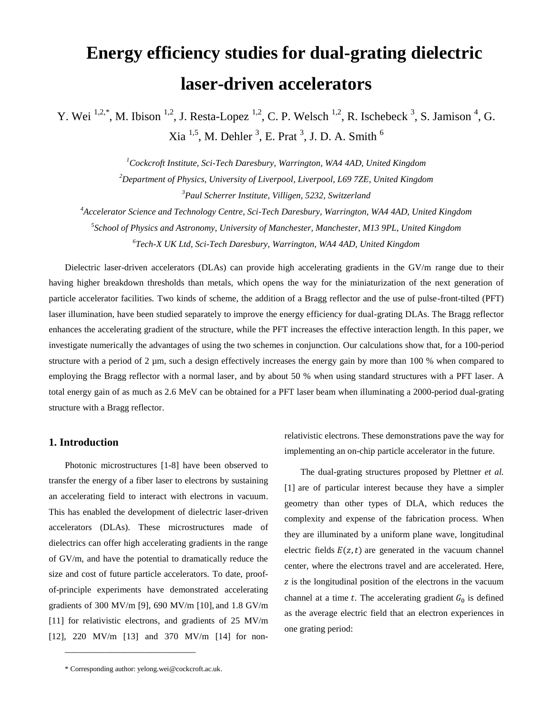# **Energy efficiency studies for dual-grating dielectric laser-driven accelerators**

Y. Wei  $^{1,2,*}$ , M. Ibison  $^{1,2}$ , J. Resta-Lopez  $^{1,2}$ , C. P. Welsch  $^{1,2}$ , R. Ischebeck  $^3$ , S. Jamison  $^4$ , G. Xia  $^{1,5}$ , M. Dehler  $^3$ , E. Prat  $^3$ , J. D. A. Smith  $^6$ 

> *<sup>1</sup>Cockcroft Institute, Sci-Tech Daresbury, Warrington, WA4 4AD, United Kingdom <sup>2</sup>Department of Physics, University of Liverpool, Liverpool, L69 7ZE, United Kingdom <sup>3</sup>Paul Scherrer Institute, Villigen, 5232, Switzerland*

*<sup>4</sup>Accelerator Science and Technology Centre, Sci-Tech Daresbury, Warrington, WA4 4AD, United Kingdom*

*5 School of Physics and Astronomy, University of Manchester, Manchester, M13 9PL, United Kingdom*

*6 Tech-X UK Ltd, Sci-Tech Daresbury, Warrington, WA4 4AD, United Kingdom*

Dielectric laser-driven accelerators (DLAs) can provide high accelerating gradients in the GV/m range due to their having higher breakdown thresholds than metals, which opens the way for the miniaturization of the next generation of particle accelerator facilities. Two kinds of scheme, the addition of a Bragg reflector and the use of pulse-front-tilted (PFT) laser illumination, have been studied separately to improve the energy efficiency for dual-grating DLAs. The Bragg reflector enhances the accelerating gradient of the structure, while the PFT increases the effective interaction length. In this paper, we investigate numerically the advantages of using the two schemes in conjunction. Our calculations show that, for a 100-period structure with a period of 2  $\mu$ m, such a design effectively increases the energy gain by more than 100 % when compared to employing the Bragg reflector with a normal laser, and by about 50 % when using standard structures with a PFT laser. A total energy gain of as much as 2.6 MeV can be obtained for a PFT laser beam when illuminating a 2000-period dual-grating structure with a Bragg reflector.

# **1. Introduction**

Photonic microstructures [1-8] have been observed to transfer the energy of a fiber laser to electrons by sustaining an accelerating field to interact with electrons in vacuum. This has enabled the development of dielectric laser-driven accelerators (DLAs). These microstructures made of dielectrics can offer high accelerating gradients in the range of GV/m, and have the potential to dramatically reduce the size and cost of future particle accelerators. To date, proofof-principle experiments have demonstrated accelerating gradients of 300 MV/m [9], 690 MV/m [10], and 1.8 GV/m [11] for relativistic electrons, and gradients of 25 MV/m [12], 220 MV/m [13] and 370 MV/m [14] for non-

\_\_\_\_\_\_\_\_\_\_\_\_\_\_\_\_\_\_\_\_\_\_\_\_\_\_\_\_\_

relativistic electrons. These demonstrations pave the way for implementing an on-chip particle accelerator in the future.

The dual-grating structures proposed by Plettner *et al.* [1] are of particular interest because they have a simpler geometry than other types of DLA, which reduces the complexity and expense of the fabrication process. When they are illuminated by a uniform plane wave, longitudinal electric fields  $E(z, t)$  are generated in the vacuum channel center, where the electrons travel and are accelerated. Here, z is the longitudinal position of the electrons in the vacuum channel at a time  $t$ . The accelerating gradient  $G_0$  is defined as the average electric field that an electron experiences in one grating period:

<sup>\*</sup> Corresponding author: yelong.wei@cockcroft.ac.uk.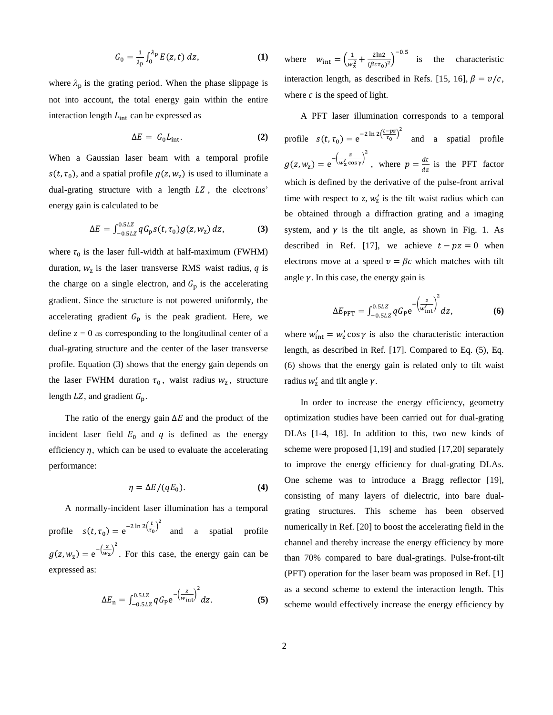$$
G_0 = \frac{1}{\lambda_p} \int_0^{\lambda_p} E(z, t) dz,
$$
 (1)

where  $\lambda_p$  is the grating period. When the phase slippage is not into account, the total energy gain within the entire interaction length  $L_{int}$  can be expressed as

$$
\Delta E = G_0 L_{\text{int}}.\tag{2}
$$

When a Gaussian laser beam with a temporal profile  $s(t, \tau_0)$ , and a spatial profile  $g(z, w_z)$  is used to illuminate a dual-grating structure with a length  $LZ$ , the electrons' energy gain is calculated to be

$$
\Delta E = \int_{-0.5LZ}^{0.5LZ} q G_{\rm p} S(t, \tau_0) g(z, w_{\rm z}) dz, \tag{3}
$$

where  $\tau_0$  is the laser full-width at half-maximum (FWHM) duration,  $w_z$  is the laser transverse RMS waist radius,  $q$  is the charge on a single electron, and  $G<sub>p</sub>$  is the accelerating gradient. Since the structure is not powered uniformly, the accelerating gradient  $G_p$  is the peak gradient. Here, we define  $z = 0$  as corresponding to the longitudinal center of a dual-grating structure and the center of the laser transverse profile. Equation (3) shows that the energy gain depends on the laser FWHM duration  $\tau_0$ , waist radius  $w_z$ , structure length  $LZ$ , and gradient  $G_p$ .

The ratio of the energy gain  $\Delta E$  and the product of the incident laser field  $E_0$  and  $q$  is defined as the energy efficiency  $\eta$ , which can be used to evaluate the accelerating performance:

$$
\eta = \Delta E / (qE_0). \tag{4}
$$

A normally-incident laser illumination has a temporal profile  $s(t, \tau_0) = e^{-2 \ln 2 (\frac{t}{\tau_0})^2}$ and a spatial profile  $g(z, w_{z}) = e^{-\left(\frac{z}{w_{z}}\right)^{2}}$ . For this case, the energy gain can be expressed as:

$$
\Delta E_{\rm n} = \int_{-0.5LZ}^{0.5LZ} q G_{\rm P} e^{-\left(\frac{z}{w_{\rm int}}\right)^2} dz. \tag{5}
$$

where  $w_{\text{int}} = \left(\frac{1}{w}\right)$  $\frac{1}{w_z^2} + \frac{2\ln 2}{(\beta c \tau_0)}$  $\frac{2\ln 2}{(\beta c \tau_0)^2}$  is the characteristic interaction length, as described in Refs. [15, 16],  $\beta = v/c$ , where  $c$  is the speed of light.

A PFT laser illumination corresponds to a temporal profile  $s(t, \tau_0) = e^{-2 \ln 2 (\frac{t - pz}{\tau_0})^2}$ and a spatial profile  $g(z, w_{z}) = e^{-\left(\frac{z}{w_{z}^{2}}\right)^{2}}$  $\frac{z}{w'_z \cos y}$ <sup>2</sup> , where  $p = \frac{dt}{dt}$  $\frac{di}{dz}$  is the PFT factor which is defined by the derivative of the pulse-front arrival time with respect to  $z$ ,  $w'_z$  is the tilt waist radius which can be obtained through a diffraction grating and a imaging system, and  $\gamma$  is the tilt angle, as shown in Fig. 1. As described in Ref. [17], we achieve  $t - pz = 0$  when electrons move at a speed  $v = \beta c$  which matches with tilt angle  $\gamma$ . In this case, the energy gain is

$$
\Delta E_{\rm PFT} = \int_{-0.5LZ}^{0.5LZ} q G_{\rm P} e^{-\left(\frac{z}{w_{\rm int}'}\right)^2} dz, \tag{6}
$$

where  $w'_{int} = w'_z \cos \gamma$  is also the characteristic interaction length, as described in Ref. [17]. Compared to Eq. (5), Eq. (6) shows that the energy gain is related only to tilt waist radius  $w'_z$  and tilt angle  $\gamma$ .

In order to increase the energy efficiency, geometry optimization studies have been carried out for dual-grating DLAs [1-4, 18]. In addition to this, two new kinds of scheme were proposed [1,19] and studied [17,20] separately to improve the energy efficiency for dual-grating DLAs. One scheme was to introduce a Bragg reflector [19], consisting of many layers of dielectric, into bare dualgrating structures. This scheme has been observed numerically in Ref. [20] to boost the accelerating field in the channel and thereby increase the energy efficiency by more than 70% compared to bare dual-gratings. Pulse-front-tilt (PFT) operation for the laser beam was proposed in Ref. [1] as a second scheme to extend the interaction length. This scheme would effectively increase the energy efficiency by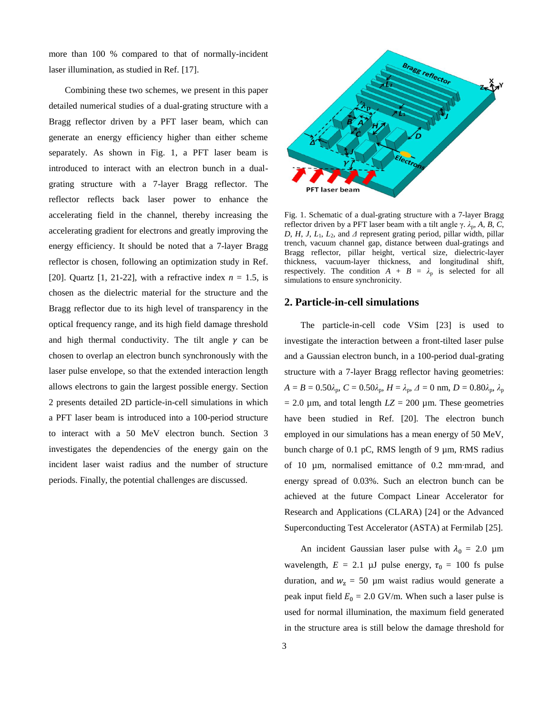more than 100 % compared to that of normally-incident laser illumination, as studied in Ref. [17].

Combining these two schemes, we present in this paper detailed numerical studies of a dual-grating structure with a Bragg reflector driven by a PFT laser beam, which can generate an energy efficiency higher than either scheme separately. As shown in Fig. 1, a PFT laser beam is introduced to interact with an electron bunch in a dualgrating structure with a 7-layer Bragg reflector. The reflector reflects back laser power to enhance the accelerating field in the channel, thereby increasing the accelerating gradient for electrons and greatly improving the energy efficiency. It should be noted that a 7-layer Bragg reflector is chosen, following an optimization study in Ref. [20]. Quartz [1, 21-22], with a refractive index *n* = 1.5, is chosen as the dielectric material for the structure and the Bragg reflector due to its high level of transparency in the optical frequency range, and its high field damage threshold and high thermal conductivity. The tilt angle  $\gamma$  can be chosen to overlap an electron bunch synchronously with the laser pulse envelope, so that the extended interaction length allows electrons to gain the largest possible energy. Section 2 presents detailed 2D particle-in-cell simulations in which a PFT laser beam is introduced into a 100-period structure to interact with a 50 MeV electron bunch. Section 3 investigates the dependencies of the energy gain on the incident laser waist radius and the number of structure periods. Finally, the potential challenges are discussed.



Fig. 1. Schematic of a dual-grating structure with a 7-layer Bragg reflector driven by a PFT laser beam with a tilt angle  $\gamma$ .  $\lambda_p$ ,  $A$ ,  $B$ ,  $C$ , *D*, *H*, *J*, *L*<sub>1</sub>, *L*<sub>2</sub>, and  $\Delta$  represent grating period, pillar width, pillar trench, vacuum channel gap, distance between dual-gratings and Bragg reflector, pillar height, vertical size, dielectric-layer thickness, vacuum-layer thickness, and longitudinal shift, respectively. The condition  $A + B = \lambda_p$  is selected for all simulations to ensure synchronicity.

## **2. Particle-in-cell simulations**

The particle-in-cell code VSim [23] is used to investigate the interaction between a front-tilted laser pulse and a Gaussian electron bunch, in a 100-period dual-grating structure with a 7-layer Bragg reflector having geometries:  $A = B = 0.50\lambda_p$ ,  $C = 0.50\lambda_p$ ,  $H = \lambda_p$ ,  $\Delta = 0$  nm,  $D = 0.80\lambda_p$ ,  $\lambda_p$  $= 2.0 \mu$ m, and total length  $LZ = 200 \mu$ m. These geometries have been studied in Ref. [20]. The electron bunch employed in our simulations has a mean energy of 50 MeV, bunch charge of 0.1 pC, RMS length of 9 µm, RMS radius of 10 µm, normalised emittance of 0.2 mm∙mrad, and energy spread of 0.03%. Such an electron bunch can be achieved at the future Compact Linear Accelerator for Research and Applications (CLARA) [24] or the Advanced Superconducting Test Accelerator (ASTA) at Fermilab [25].

An incident Gaussian laser pulse with  $\lambda_0 = 2.0 \text{ }\mu\text{m}$ wavelength,  $E = 2.1 \mu J$  pulse energy,  $\tau_0 = 100$  fs pulse duration, and  $w_z = 50 \mu m$  waist radius would generate a peak input field  $E_0 = 2.0$  GV/m. When such a laser pulse is used for normal illumination, the maximum field generated in the structure area is still below the damage threshold for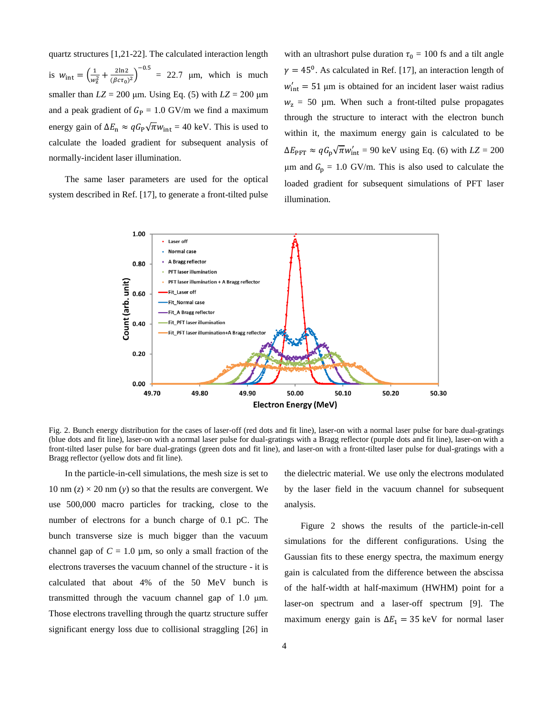quartz structures [1,21-22]. The calculated interaction length is  $w_{\text{int}} = \left(\frac{1}{w}\right)$  $\frac{1}{w_z^2} + \frac{2\ln 2}{(\beta c \tau_0)}$  $\frac{2 \ln 2}{(\beta c \tau_0)^2}$ )<sup>-0.5</sup> = 22.7 µm, which is much smaller than  $LZ = 200 \mu m$ . Using Eq. (5) with  $LZ = 200 \mu m$ and a peak gradient of  $G<sub>P</sub> = 1.0$  GV/m we find a maximum energy gain of  $\Delta E_n \approx q G_P \sqrt{\pi} w_{\text{int}} = 40 \text{ keV}$ . This is used to calculate the loaded gradient for subsequent analysis of normally-incident laser illumination.

The same laser parameters are used for the optical system described in Ref. [17], to generate a front-tilted pulse with an ultrashort pulse duration  $\tau_0 = 100$  fs and a tilt angle  $\gamma = 45^{\circ}$ . As calculated in Ref. [17], an interaction length of  $w'_{\text{int}} = 51 \,\mu\text{m}$  is obtained for an incident laser waist radius  $w_z$  = 50 µm. When such a front-tilted pulse propagates through the structure to interact with the electron bunch within it, the maximum energy gain is calculated to be  $\Delta E_{\text{PFT}} \approx q G_{\text{p}} \sqrt{\pi} w_{\text{int}}' = 90 \text{ keV using Eq. (6) with } LZ = 200$ μm and  $G_p = 1.0 \text{ GV/m}$ . This is also used to calculate the loaded gradient for subsequent simulations of PFT laser illumination.



Fig. 2. Bunch energy distribution for the cases of laser-off (red dots and fit line), laser-on with a normal laser pulse for bare dual-gratings (blue dots and fit line), laser-on with a normal laser pulse for dual-gratings with a Bragg reflector (purple dots and fit line), laser-on with a front-tilted laser pulse for bare dual-gratings (green dots and fit line), and laser-on with a front-tilted laser pulse for dual-gratings with a Bragg reflector (yellow dots and fit line).

In the particle-in-cell simulations, the mesh size is set to 10 nm  $(z) \times 20$  nm  $(y)$  so that the results are convergent. We use 500,000 macro particles for tracking, close to the number of electrons for a bunch charge of 0.1 pC. The bunch transverse size is much bigger than the vacuum channel gap of  $C = 1.0 \mu m$ , so only a small fraction of the electrons traverses the vacuum channel of the structure - it is calculated that about 4% of the 50 MeV bunch is transmitted through the vacuum channel gap of 1.0 μm. Those electrons travelling through the quartz structure suffer significant energy loss due to collisional straggling [26] in the dielectric material. We use only the electrons modulated by the laser field in the vacuum channel for subsequent analysis.

Figure 2 shows the results of the particle-in-cell simulations for the different configurations. Using the Gaussian fits to these energy spectra, the maximum energy gain is calculated from the difference between the abscissa of the half-width at half-maximum (HWHM) point for a laser-on spectrum and a laser-off spectrum [9]. The maximum energy gain is  $\Delta E_1 = 35 \text{ keV}$  for normal laser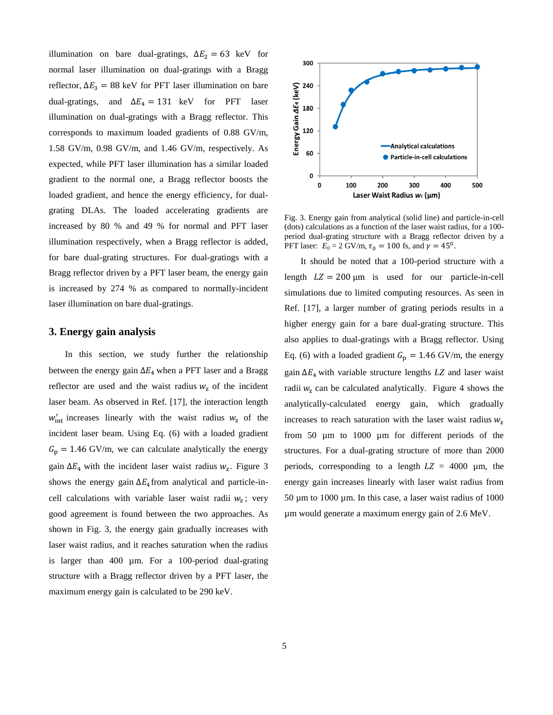illumination on bare dual-gratings,  $\Delta E_2 = 63$  keV for normal laser illumination on dual-gratings with a Bragg reflector,  $\Delta E_3 = 88$  keV for PFT laser illumination on bare dual-gratings, and  $\Delta E_4 = 131$  keV for PFT laser illumination on dual-gratings with a Bragg reflector. This corresponds to maximum loaded gradients of 0.88 GV/m, 1.58 GV/m, 0.98 GV/m, and 1.46 GV/m, respectively. As expected, while PFT laser illumination has a similar loaded gradient to the normal one, a Bragg reflector boosts the loaded gradient, and hence the energy efficiency, for dualgrating DLAs. The loaded accelerating gradients are increased by 80 % and 49 % for normal and PFT laser illumination respectively, when a Bragg reflector is added, for bare dual-grating structures. For dual-gratings with a Bragg reflector driven by a PFT laser beam, the energy gain is increased by 274 % as compared to normally-incident laser illumination on bare dual-gratings.

## **3. Energy gain analysis**

In this section, we study further the relationship between the energy gain  $\Delta E_4$  when a PFT laser and a Bragg reflector are used and the waist radius  $w<sub>z</sub>$  of the incident laser beam. As observed in Ref. [17], the interaction length  $w'_{\text{int}}$  increases linearly with the waist radius  $w_z$  of the incident laser beam. Using Eq. (6) with a loaded gradient  $G_p = 1.46$  GV/m, we can calculate analytically the energy gain  $\Delta E_4$  with the incident laser waist radius  $w_z$ . Figure 3 shows the energy gain  $\Delta E_4$  from analytical and particle-incell calculations with variable laser waist radii  $w_z$ ; very good agreement is found between the two approaches. As shown in Fig. 3, the energy gain gradually increases with laser waist radius, and it reaches saturation when the radius is larger than 400 µm. For a 100-period dual-grating structure with a Bragg reflector driven by a PFT laser, the maximum energy gain is calculated to be 290 keV.



Fig. 3. Energy gain from analytical (solid line) and particle-in-cell (dots) calculations as a function of the laser waist radius, for a 100 period dual-grating structure with a Bragg reflector driven by a PFT laser:  $E_0 = 2 \text{ GV/m}, \tau_0 = 100 \text{ fs}, \text{ and } \gamma = 45^{\circ}.$ 

It should be noted that a 100-period structure with a length  $LZ = 200 \mu m$  is used for our particle-in-cell simulations due to limited computing resources. As seen in Ref. [17], a larger number of grating periods results in a higher energy gain for a bare dual-grating structure. This also applies to dual-gratings with a Bragg reflector. Using Eq. (6) with a loaded gradient  $G_p = 1.46$  GV/m, the energy gain ∆<sup>4</sup> with variable structure lengths *LZ* and laser waist radii  $w<sub>z</sub>$  can be calculated analytically. Figure 4 shows the analytically-calculated energy gain, which gradually increases to reach saturation with the laser waist radius  $w<sub>z</sub>$ from 50 µm to 1000 µm for different periods of the structures. For a dual-grating structure of more than 2000 periods, corresponding to a length  $LZ = 4000 \mu m$ , the energy gain increases linearly with laser waist radius from 50 µm to 1000 µm. In this case, a laser waist radius of 1000 µm would generate a maximum energy gain of 2.6 MeV.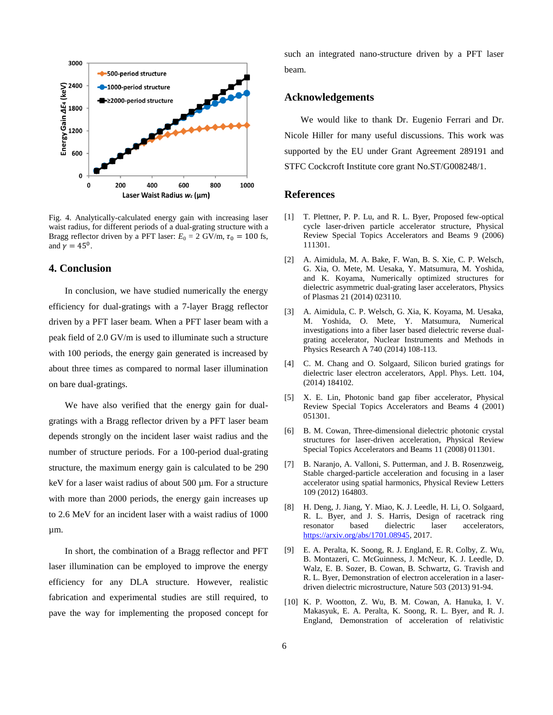

Fig. 4. Analytically-calculated energy gain with increasing laser waist radius, for different periods of a dual-grating structure with a Bragg reflector driven by a PFT laser:  $E_0 = 2$  GV/m,  $\tau_0 = 100$  fs, and  $\gamma = 45^{\circ}$ .

# **4. Conclusion**

In conclusion, we have studied numerically the energy efficiency for dual-gratings with a 7-layer Bragg reflector driven by a PFT laser beam. When a PFT laser beam with a peak field of 2.0 GV/m is used to illuminate such a structure with 100 periods, the energy gain generated is increased by about three times as compared to normal laser illumination on bare dual-gratings.

We have also verified that the energy gain for dualgratings with a Bragg reflector driven by a PFT laser beam depends strongly on the incident laser waist radius and the number of structure periods. For a 100-period dual-grating structure, the maximum energy gain is calculated to be 290 keV for a laser waist radius of about 500 µm. For a structure with more than 2000 periods, the energy gain increases up to 2.6 MeV for an incident laser with a waist radius of 1000 µm.

In short, the combination of a Bragg reflector and PFT laser illumination can be employed to improve the energy efficiency for any DLA structure. However, realistic fabrication and experimental studies are still required, to pave the way for implementing the proposed concept for such an integrated nano-structure driven by a PFT laser beam.

### **Acknowledgements**

We would like to thank Dr. Eugenio Ferrari and Dr. Nicole Hiller for many useful discussions. This work was supported by the EU under Grant Agreement 289191 and STFC Cockcroft Institute core grant No.ST/G008248/1.

### **References**

- [1] T. Plettner, P. P. Lu, and R. L. Byer, Proposed few-optical cycle laser-driven particle accelerator structure, Physical Review Special Topics Accelerators and Beams 9 (2006) 111301.
- [2] A. Aimidula, M. A. Bake, F. Wan, B. S. Xie, C. P. Welsch, G. Xia, O. Mete, M. Uesaka, Y. Matsumura, M. Yoshida, and K. Koyama, Numerically optimized structures for dielectric asymmetric dual-grating laser accelerators, Physics of Plasmas 21 (2014) 023110.
- [3] A. Aimidula, C. P. Welsch, G. Xia, K. Koyama, M. Uesaka, M. Yoshida, O. Mete, Y. Matsumura, Numerical investigations into a fiber laser based dielectric reverse dualgrating accelerator, Nuclear Instruments and Methods in Physics Research A 740 (2014) 108-113.
- [4] C. M. Chang and O. Solgaard, Silicon buried gratings for dielectric laser electron accelerators, Appl. Phys. Lett. 104, (2014) 184102.
- [5] X. E. Lin, Photonic band gap fiber accelerator, Physical Review Special Topics Accelerators and Beams 4 (2001) 051301.
- [6] B. M. Cowan, Three-dimensional dielectric photonic crystal structures for laser-driven acceleration, Physical Review Special Topics Accelerators and Beams 11 (2008) 011301.
- [7] B. Naranjo, A. Valloni, S. Putterman, and J. B. Rosenzweig, Stable charged-particle acceleration and focusing in a laser accelerator using spatial harmonics, Physical Review Letters 109 (2012) 164803.
- [8] H. Deng, J. Jiang, Y. Miao, K. J. Leedle, H. Li, O. Solgaard, R. L. Byer, and J. S. Harris, Design of racetrack ring resonator based dielectric laser accelerators, [https://arxiv.org/abs/1701.08945,](https://arxiv.org/abs/1701.08945) 2017.
- [9] E. A. Peralta, K. Soong, R. J. England, E. R. Colby, Z. Wu, B. Montazeri, C. McGuinness, J. McNeur, K. J. Leedle, D. Walz, E. B. Sozer, B. Cowan, B. Schwartz, G. Travish and R. L. Byer, Demonstration of electron acceleration in a laserdriven dielectric microstructure, Nature 503 (2013) 91-94.
- [10] K. P. Wootton, Z. Wu, B. M. Cowan, A. Hanuka, I. V. Makasyuk, E. A. Peralta, K. Soong, R. L. Byer, and R. J. England, Demonstration of acceleration of relativistic